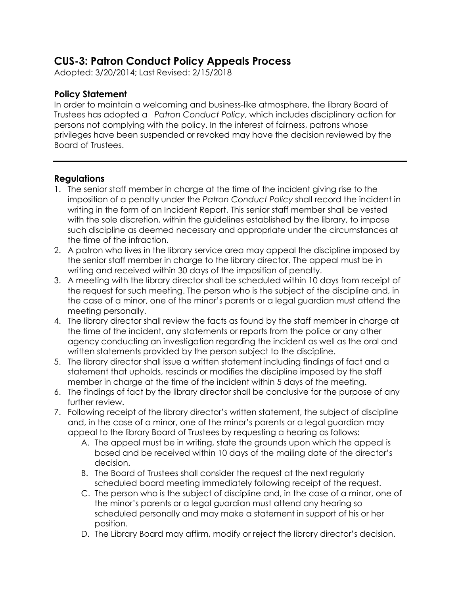## **CUS-3: Patron Conduct Policy Appeals Process**

Adopted: 3/20/2014; Last Revised: 2/15/2018

## **Policy Statement**

In order to maintain a welcoming and business-like atmosphere, the library Board of Trustees has adopted a *Patron Conduct Policy*, which includes disciplinary action for persons not complying with the policy. In the interest of fairness, patrons whose privileges have been suspended or revoked may have the decision reviewed by the Board of Trustees.

## **Regulations**

- 1. The senior staff member in charge at the time of the incident giving rise to the imposition of a penalty under the *Patron Conduct Policy* shall record the incident in writing in the form of an Incident Report. This senior staff member shall be vested with the sole discretion, within the guidelines established by the library, to impose such discipline as deemed necessary and appropriate under the circumstances at the time of the infraction.
- 2. A patron who lives in the library service area may appeal the discipline imposed by the senior staff member in charge to the library director. The appeal must be in writing and received within 30 days of the imposition of penalty.
- 3. A meeting with the library director shall be scheduled within 10 days from receipt of the request for such meeting. The person who is the subject of the discipline and, in the case of a minor, one of the minor's parents or a legal guardian must attend the meeting personally.
- 4. The library director shall review the facts as found by the staff member in charge at the time of the incident, any statements or reports from the police or any other agency conducting an investigation regarding the incident as well as the oral and written statements provided by the person subject to the discipline.
- 5. The library director shall issue a written statement including findings of fact and a statement that upholds, rescinds or modifies the discipline imposed by the staff member in charge at the time of the incident within 5 days of the meeting.
- 6. The findings of fact by the library director shall be conclusive for the purpose of any further review.
- 7. Following receipt of the library director's written statement, the subject of discipline and, in the case of a minor, one of the minor's parents or a legal guardian may appeal to the library Board of Trustees by requesting a hearing as follows:
	- A. The appeal must be in writing, state the grounds upon which the appeal is based and be received within 10 days of the mailing date of the director's decision.
	- B. The Board of Trustees shall consider the request at the next regularly scheduled board meeting immediately following receipt of the request.
	- C. The person who is the subject of discipline and, in the case of a minor, one of the minor's parents or a legal guardian must attend any hearing so scheduled personally and may make a statement in support of his or her position.
	- D. The Library Board may affirm, modify or reject the library director's decision.